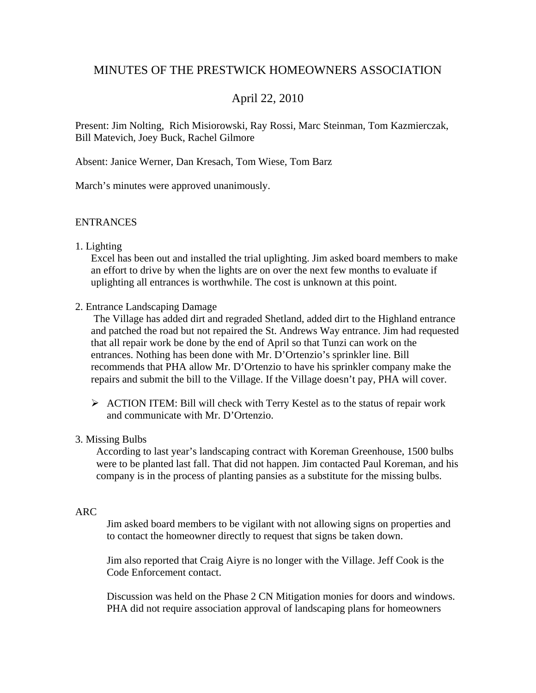# MINUTES OF THE PRESTWICK HOMEOWNERS ASSOCIATION

# April 22, 2010

Present: Jim Nolting, Rich Misiorowski, Ray Rossi, Marc Steinman, Tom Kazmierczak, Bill Matevich, Joey Buck, Rachel Gilmore

Absent: Janice Werner, Dan Kresach, Tom Wiese, Tom Barz

March's minutes were approved unanimously.

### **ENTRANCES**

### 1. Lighting

Excel has been out and installed the trial uplighting. Jim asked board members to make an effort to drive by when the lights are on over the next few months to evaluate if uplighting all entrances is worthwhile. The cost is unknown at this point.

#### 2. Entrance Landscaping Damage

The Village has added dirt and regraded Shetland, added dirt to the Highland entrance and patched the road but not repaired the St. Andrews Way entrance. Jim had requested that all repair work be done by the end of April so that Tunzi can work on the entrances. Nothing has been done with Mr. D'Ortenzio's sprinkler line. Bill recommends that PHA allow Mr. D'Ortenzio to have his sprinkler company make the repairs and submit the bill to the Village. If the Village doesn't pay, PHA will cover.

 $\triangleright$  ACTION ITEM: Bill will check with Terry Kestel as to the status of repair work and communicate with Mr. D'Ortenzio.

# 3. Missing Bulbs

According to last year's landscaping contract with Koreman Greenhouse, 1500 bulbs were to be planted last fall. That did not happen. Jim contacted Paul Koreman, and his company is in the process of planting pansies as a substitute for the missing bulbs.

### ARC

Jim asked board members to be vigilant with not allowing signs on properties and to contact the homeowner directly to request that signs be taken down.

Jim also reported that Craig Aiyre is no longer with the Village. Jeff Cook is the Code Enforcement contact.

Discussion was held on the Phase 2 CN Mitigation monies for doors and windows. PHA did not require association approval of landscaping plans for homeowners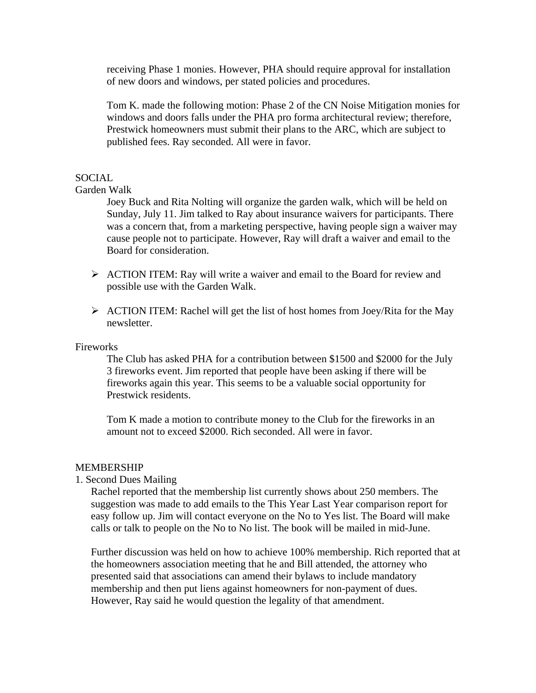receiving Phase 1 monies. However, PHA should require approval for installation of new doors and windows, per stated policies and procedures.

Tom K. made the following motion: Phase 2 of the CN Noise Mitigation monies for windows and doors falls under the PHA pro forma architectural review; therefore, Prestwick homeowners must submit their plans to the ARC, which are subject to published fees. Ray seconded. All were in favor.

#### SOCIAL

Garden Walk

Joey Buck and Rita Nolting will organize the garden walk, which will be held on Sunday, July 11. Jim talked to Ray about insurance waivers for participants. There was a concern that, from a marketing perspective, having people sign a waiver may cause people not to participate. However, Ray will draft a waiver and email to the Board for consideration.

- $\triangleright$  ACTION ITEM: Ray will write a waiver and email to the Board for review and possible use with the Garden Walk.
- $\triangleright$  ACTION ITEM: Rachel will get the list of host homes from Joey/Rita for the May newsletter.

**Fireworks** 

The Club has asked PHA for a contribution between \$1500 and \$2000 for the July 3 fireworks event. Jim reported that people have been asking if there will be fireworks again this year. This seems to be a valuable social opportunity for Prestwick residents.

Tom K made a motion to contribute money to the Club for the fireworks in an amount not to exceed \$2000. Rich seconded. All were in favor.

#### MEMBERSHIP

1. Second Dues Mailing

Rachel reported that the membership list currently shows about 250 members. The suggestion was made to add emails to the This Year Last Year comparison report for easy follow up. Jim will contact everyone on the No to Yes list. The Board will make calls or talk to people on the No to No list. The book will be mailed in mid-June.

Further discussion was held on how to achieve 100% membership. Rich reported that at the homeowners association meeting that he and Bill attended, the attorney who presented said that associations can amend their bylaws to include mandatory membership and then put liens against homeowners for non-payment of dues. However, Ray said he would question the legality of that amendment.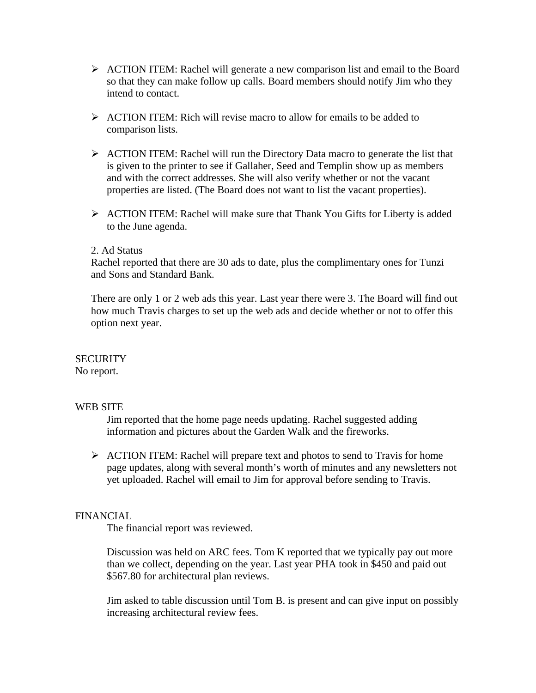- $\triangleright$  ACTION ITEM: Rachel will generate a new comparison list and email to the Board so that they can make follow up calls. Board members should notify Jim who they intend to contact.
- $\triangleright$  ACTION ITEM: Rich will revise macro to allow for emails to be added to comparison lists.
- $\triangleright$  ACTION ITEM: Rachel will run the Directory Data macro to generate the list that is given to the printer to see if Gallaher, Seed and Templin show up as members and with the correct addresses. She will also verify whether or not the vacant properties are listed. (The Board does not want to list the vacant properties).
- $\triangleright$  ACTION ITEM: Rachel will make sure that Thank You Gifts for Liberty is added to the June agenda.

### 2. Ad Status

Rachel reported that there are 30 ads to date, plus the complimentary ones for Tunzi and Sons and Standard Bank.

There are only 1 or 2 web ads this year. Last year there were 3. The Board will find out how much Travis charges to set up the web ads and decide whether or not to offer this option next year.

# **SECURITY**

No report.

# WEB SITE

Jim reported that the home page needs updating. Rachel suggested adding information and pictures about the Garden Walk and the fireworks.

¾ ACTION ITEM: Rachel will prepare text and photos to send to Travis for home page updates, along with several month's worth of minutes and any newsletters not yet uploaded. Rachel will email to Jim for approval before sending to Travis.

# FINANCIAL

The financial report was reviewed.

Discussion was held on ARC fees. Tom K reported that we typically pay out more than we collect, depending on the year. Last year PHA took in \$450 and paid out \$567.80 for architectural plan reviews.

Jim asked to table discussion until Tom B. is present and can give input on possibly increasing architectural review fees.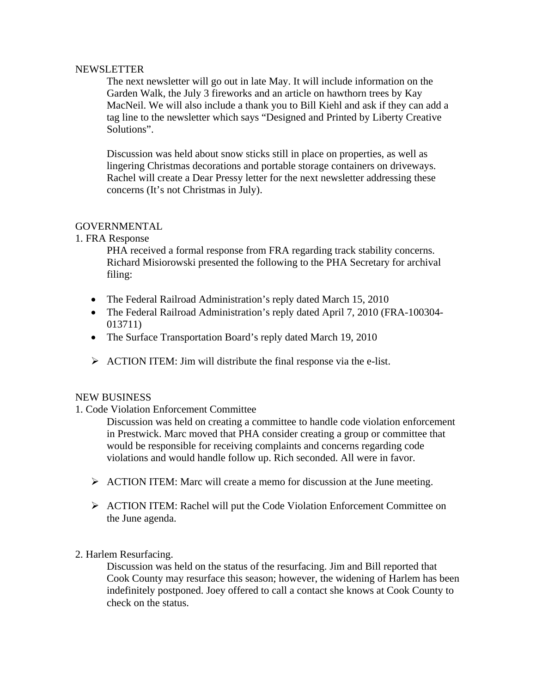### NEWSLETTER

The next newsletter will go out in late May. It will include information on the Garden Walk, the July 3 fireworks and an article on hawthorn trees by Kay MacNeil. We will also include a thank you to Bill Kiehl and ask if they can add a tag line to the newsletter which says "Designed and Printed by Liberty Creative Solutions".

Discussion was held about snow sticks still in place on properties, as well as lingering Christmas decorations and portable storage containers on driveways. Rachel will create a Dear Pressy letter for the next newsletter addressing these concerns (It's not Christmas in July).

# **GOVERNMENTAL**

1. FRA Response

PHA received a formal response from FRA regarding track stability concerns. Richard Misiorowski presented the following to the PHA Secretary for archival filing:

- The Federal Railroad Administration's reply dated March 15, 2010
- The Federal Railroad Administration's reply dated April 7, 2010 (FRA-100304- 013711)
- The Surface Transportation Board's reply dated March 19, 2010
- $\triangleright$  ACTION ITEM: Jim will distribute the final response via the e-list.

# NEW BUSINESS

# 1. Code Violation Enforcement Committee

Discussion was held on creating a committee to handle code violation enforcement in Prestwick. Marc moved that PHA consider creating a group or committee that would be responsible for receiving complaints and concerns regarding code violations and would handle follow up. Rich seconded. All were in favor.

- $\triangleright$  ACTION ITEM: Marc will create a memo for discussion at the June meeting.
- $\triangleright$  ACTION ITEM: Rachel will put the Code Violation Enforcement Committee on the June agenda.

# 2. Harlem Resurfacing.

Discussion was held on the status of the resurfacing. Jim and Bill reported that Cook County may resurface this season; however, the widening of Harlem has been indefinitely postponed. Joey offered to call a contact she knows at Cook County to check on the status.